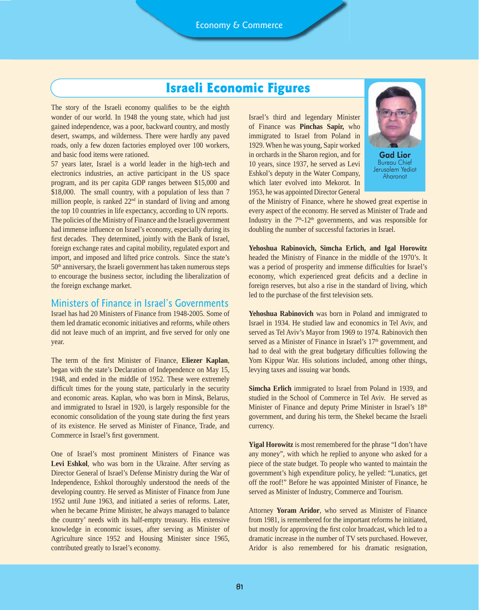# Israeli Economic Figures

The story of the Israeli economy qualifies to be the eighth wonder of our world. In 1948 the young state, which had just gained independence, was a poor, backward country, and mostly desert, swamps, and wilderness. There were hardly any paved roads, only a few dozen factories employed over 100 workers, and basic food items were rationed.

57 years later, Israel is a world leader in the high-tech and electronics industries, an active participant in the US space program, and its per capita GDP ranges between \$15,000 and \$18,000. The small country, with a population of less than 7 million people, is ranked  $22<sup>nd</sup>$  in standard of living and among the top 10 countries in life expectancy, according to UN reports. The policies of the Ministry of Finance and the Israeli government had immense influence on Israel's economy, especially during its first decades. They determined, jointly with the Bank of Israel, foreign exchange rates and capital mobility, regulated export and import, and imposed and lifted price controls. Since the state's  $50<sup>th</sup>$  anniversary, the Israeli government has taken numerous steps to encourage the business sector, including the liberalization of the foreign exchange market.

## Ministers of Finance in Israel's Governments

Israel has had 20 Ministers of Finance from 1948-2005. Some of them led dramatic economic initiatives and reforms, while others did not leave much of an imprint, and five served for only one year.

The term of the first Minister of Finance, **Eliezer Kaplan**, began with the state's Declaration of Independence on May 15, 1948, and ended in the middle of 1952. These were extremely difficult times for the young state, particularly in the security and economic areas. Kaplan, who was born in Minsk, Belarus, and immigrated to Israel in 1920, is largely responsible for the economic consolidation of the young state during the first years of its existence. He served as Minister of Finance, Trade, and Commerce in Israel's first government.

One of Israel's most prominent Ministers of Finance was **Levi Eshkol**, who was born in the Ukraine. After serving as Director General of Israel's Defense Ministry during the War of Independence, Eshkol thoroughly understood the needs of the developing country. He served as Minister of Finance from June 1952 until June 1963, and initiated a series of reforms. Later, when he became Prime Minister, he always managed to balance the country' needs with its half-empty treasury. His extensive knowledge in economic issues, after serving as Minister of Agriculture since 1952 and Housing Minister since 1965, contributed greatly to Israel's economy.

Israel's third and legendary Minister of Finance was **Pinchas Sapir,** who immigrated to Israel from Poland in 1929. When he was young, Sapir worked in orchards in the Sharon region, and for 10 years, since 1937, he served as Levi Eshkol's deputy in the Water Company, which later evolved into Mekorot. In 1953, he was appointed Director General



Gad Lior Bureau Chief Jerusalem Yediot Aharonot

of the Ministry of Finance, where he showed great expertise in every aspect of the economy. He served as Minister of Trade and Industry in the  $7<sup>th</sup>$ -12<sup>th</sup> governments, and was responsible for doubling the number of successful factories in Israel.

**Yehoshua Rabinovich, Simcha Erlich, and Igal Horowitz**  headed the Ministry of Finance in the middle of the 1970's. It was a period of prosperity and immense difficulties for Israel's economy, which experienced great deficits and a decline in foreign reserves, but also a rise in the standard of living, which led to the purchase of the first television sets.

**Yehoshua Rabinovich** was born in Poland and immigrated to Israel in 1934. He studied law and economics in Tel Aviv, and served as Tel Aviv's Mayor from 1969 to 1974. Rabinovich then served as a Minister of Finance in Israel's 17<sup>th</sup> government, and had to deal with the great budgetary difficulties following the Yom Kippur War. His solutions included, among other things, levying taxes and issuing war bonds.

**Simcha Erlich** immigrated to Israel from Poland in 1939, and studied in the School of Commerce in Tel Aviv. He served as Minister of Finance and deputy Prime Minister in Israel's 18<sup>th</sup> government, and during his term, the Shekel became the Israeli currency.

**Yigal Horowitz** is most remembered for the phrase "I don't have any money", with which he replied to anyone who asked for a piece of the state budget. To people who wanted to maintain the government's high expenditure policy, he yelled: "Lunatics, get off the roof!" Before he was appointed Minister of Finance, he served as Minister of Industry, Commerce and Tourism.

Attorney **Yoram Aridor**, who served as Minister of Finance from 1981, is remembered for the important reforms he initiated, but mostly for approving the first color broadcast, which led to a dramatic increase in the number of TV sets purchased. However, Aridor is also remembered for his dramatic resignation,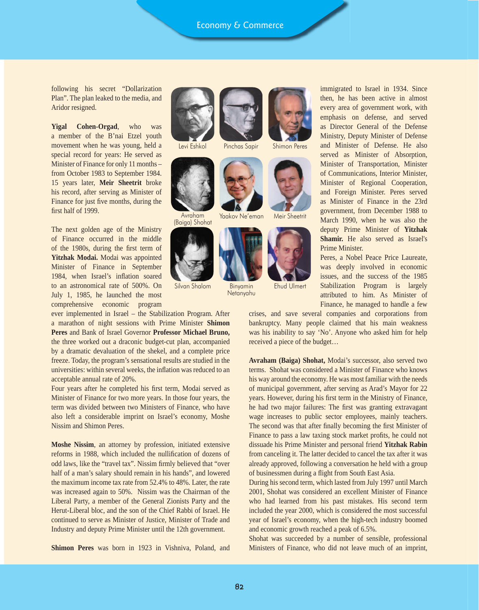**שם**

following his secret "Dollarization Plan". The plan leaked to the media, and Aridor resigned.

**Yigal Cohen-Orgad**, who was a member of the B'nai Etzel youth movement when he was young, held a special record for years: He served as Minister of Finance for only 11 months – from October 1983 to September 1984. 15 years later, **Meir Sheetrit** broke his record, after serving as Minister of Finance for just five months, during the first half of 1999.

The next golden age of the Ministry of Finance occurred in the middle of the 1980s, during the first term of **Yitzhak Modai.** Modai was appointed Minister of Finance in September 1984, when Israel's inflation soared to an astronomical rate of 500%. On July 1, 1985, he launched the most comprehensive economic program

ever implemented in Israel – the Stabilization Program. After a marathon of night sessions with Prime Minister **Shimon Peres** and Bank of Israel Governor **Professor Michael Bruno,**  the three worked out a draconic budget-cut plan, accompanied by a dramatic devaluation of the shekel, and a complete price freeze. Today, the program's sensational results are studied in the universities: within several weeks, the inflation was reduced to an acceptable annual rate of 20%.

Four years after he completed his first term, Modai served as Minister of Finance for two more years. In those four years, the term was divided between two Ministers of Finance, who have also left a considerable imprint on Israel's economy, Moshe Nissim and Shimon Peres.

**Moshe Nissim**, an attorney by profession, initiated extensive reforms in 1988, which included the nullification of dozens of odd laws, like the "travel tax". Nissim firmly believed that "over half of a man's salary should remain in his hands", and lowered the maximum income tax rate from 52.4% to 48%. Later, the rate was increased again to 50%. Nissim was the Chairman of the Liberal Party, a member of the General Zionists Party and the Herut-Liberal bloc, and the son of the Chief Rabbi of Israel. He continued to serve as Minister of Justice, Minister of Trade and Industry and deputy Prime Minister until the 12th government.

**Shimon Peres** was born in 1923 in Vishniva, Poland, and





(Baiga) Shohat



Silvan Shalom





Yaakov Ne'eman Meir Sheetrit



 Binyamin Ehud Ulmert **Netanyahu** 

immigrated to Israel in 1934. Since then, he has been active in almost every area of government work, with emphasis on defense, and served as Director General of the Defense Ministry, Deputy Minister of Defense and Minister of Defense. He also served as Minister of Absorption, Minister of Transportation, Minister of Communications, Interior Minister, Minister of Regional Cooperation, and Foreign Minister. Peres served as Minister of Finance in the 23rd government, from December 1988 to March 1990, when he was also the deputy Prime Minister of **Yitzhak Shamir.** He also served as Israel's Prime Minister.

Peres, a Nobel Peace Price Laureate, was deeply involved in economic issues, and the success of the 1985 Stabilization Program is largely attributed to him. As Minister of Finance, he managed to handle a few

crises, and save several companies and corporations from bankruptcy. Many people claimed that his main weakness was his inability to say 'No'. Anyone who asked him for help received a piece of the budget…

**Avraham (Baiga) Shohat,** Modai's successor, also served two terms. Shohat was considered a Minister of Finance who knows his way around the economy. He was most familiar with the needs of municipal government, after serving as Arad's Mayor for 22 years. However, during his first term in the Ministry of Finance, he had two major failures: The first was granting extravagant wage increases to public sector employees, mainly teachers. The second was that after finally becoming the first Minister of Finance to pass a law taxing stock market profits, he could not dissuade his Prime Minister and personal friend **Yitzhak Rabin**  from canceling it. The latter decided to cancel the tax after it was already approved, following a conversation he held with a group of businessmen during a flight from South East Asia.

During his second term, which lasted from July 1997 until March 2001, Shohat was considered an excellent Minister of Finance who had learned from his past mistakes. His second term included the year 2000, which is considered the most successful year of Israel's economy, when the high-tech industry boomed and economic growth reached a peak of 6.5%.

Shohat was succeeded by a number of sensible, professional Ministers of Finance, who did not leave much of an imprint,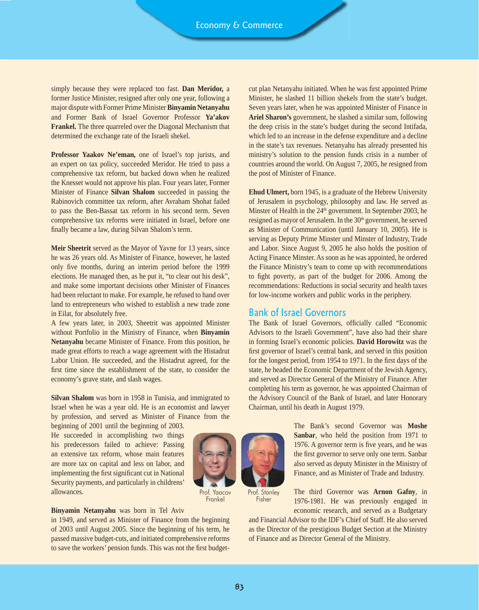simply because they were replaced too fast. **Dan Meridor,** a former Justice Minister, resigned after only one year, following a major dispute with Former Prime Minister **Binyamin Netanyahu** and Former Bank of Israel Governor Professor **Ya'akov Frankel.** The three quarreled over the Diagonal Mechanism that determined the exchange rate of the Israeli shekel.

**Professor Yaakov Ne'eman,** one of Israel's top jurists, and an expert on tax policy, succeeded Meridor. He tried to pass a comprehensive tax reform, but backed down when he realized the Knesset would not approve his plan. Four years later, Former Minister of Finance **Silvan Shalom** succeeded in passing the Rabinovich committee tax reform, after Avraham Shohat failed to pass the Ben-Bassat tax reform in his second term. Seven comprehensive tax reforms were initiated in Israel, before one finally became a law, during Silvan Shalom's term.

**Meir Sheetrit** served as the Mayor of Yavne for 13 years, since he was 26 years old. As Minister of Finance, however, he lasted only five months, during an interim period before the 1999 elections. He managed then, as he put it, "to clear out his desk", and make some important decisions other Minister of Finances had been reluctant to make. For example, he refused to hand over land to entrepreneurs who wished to establish a new trade zone in Eilat, for absolutely free.

A few years later, in 2003, Sheetrit was appointed Minister without Portfolio in the Ministry of Finance, when **Binyamin Netanyahu** became Minister of Finance. From this position, he made great efforts to reach a wage agreement with the Histadrut Labor Union. He succeeded, and the Histadrut agreed, for the first time since the establishment of the state, to consider the economy's grave state, and slash wages.

**Silvan Shalom** was born in 1958 in Tunisia, and immigrated to Israel when he was a year old. He is an economist and lawyer by profession, and served as Minister of Finance from the beginning of 2001 until the beginning of 2003.

He succeeded in accomplishing two things his predecessors failed to achieve: Passing an extensive tax reform, whose main features are more tax on capital and less on labor, and implementing the first significant cut in National Security payments, and particularly in childrens' allowances.

Prof. Yaacov

#### **Binyamin Netanyahu** was born in Tel Aviv

in 1949, and served as Minister of Finance from the beginning of 2003 until August 2005. Since the beginning of his term, he passed massive budget-cuts, and initiated comprehensive reforms to save the workers' pension funds. This was not the first budgetcut plan Netanyahu initiated. When he was first appointed Prime Minister, he slashed 11 billion shekels from the state's budget. Seven years later, when he was appointed Minister of Finance in **Ariel Sharon's** government, he slashed a similar sum, following the deep crisis in the state's budget during the second Intifada, which led to an increase in the defense expenditure and a decline in the state's tax revenues. Netanyahu has already presented his ministry's solution to the pension funds crisis in a number of countries around the world. On August 7, 2005, he resigned from the post of Minister of Finance.

**Ehud Ulmert,** born 1945, is a graduate of the Hebrew University of Jerusalem in psychology, philosophy and law. He served as Minster of Health in the  $24<sup>th</sup>$  government. In September 2003, he resigned as mayor of Jerusalem. In the 30<sup>th</sup> government, he served as Minister of Communication (until January 10, 2005). He is serving as Deputy Prime Minster und Minster of Industry, Trade and Labor. Since August 9, 2005 he also holds the position of Acting Finance Minster. As soon as he was appointed, he ordered the Finance Ministry's team to come up with recommendations to fight poverty, as part of the budget for 2006. Among the recommendations: Reductions in social security and health taxes for low-income workers and public works in the periphery.

# Bank of Israel Governors

The Bank of Israel Governors, officially called "Economic Advisors to the Israeli Government", have also had their share in forming Israel's economic policies. **David Horowitz** was the first governor of Israel's central bank, and served in this position for the longest period, from 1954 to 1971. In the first days of the state, he headed the Economic Department of the Jewish Agency, and served as Director General of the Ministry of Finance. After completing his term as governor, he was appointed Chairman of the Advisory Council of the Bank of Israel, and later Honorary Chairman, until his death in August 1979.



 Prof. Stanley Fisher

**Frankel** 

The Bank's second Governor was **Moshe Sanbar**, who held the position from 1971 to 1976. A governor term is five years, and he was the first governor to serve only one term. Sanbar also served as deputy Minister in the Ministry of Finance, and as Minister of Trade and Industry.

The third Governor was **Arnon Gafny**, in

1976-1981. He was previously engaged in economic research, and served as a Budgetary

and Financial Advisor to the IDF's Chief of Staff. He also served as the Director of the prestigious Budget Section at the Ministry of Finance and as Director General of the Ministry.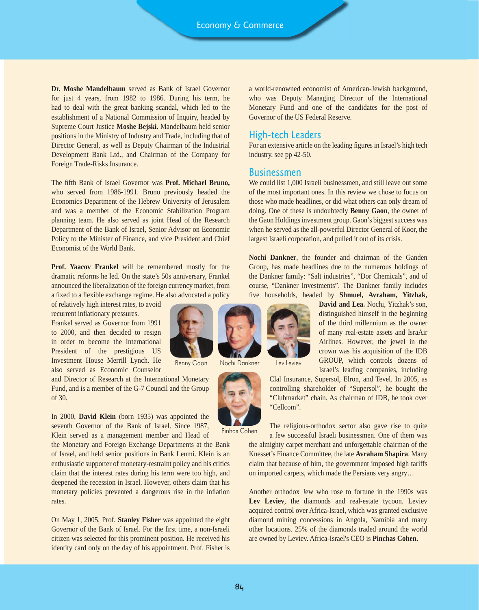**Dr. Moshe Mandelbaum** served as Bank of Israel Governor for just 4 years, from 1982 to 1986. During his term, he had to deal with the great banking scandal, which led to the establishment of a National Commission of Inquiry, headed by Supreme Court Justice **Moshe Bejski.** Mandelbaum held senior positions in the Ministry of Industry and Trade, including that of Director General, as well as Deputy Chairman of the Industrial Development Bank Ltd., and Chairman of the Company for Foreign Trade-Risks Insurance.

The fifth Bank of Israel Governor was **Prof. Michael Bruno,** who served from 1986-1991. Bruno previously headed the Economics Department of the Hebrew University of Jerusalem and was a member of the Economic Stabilization Program planning team. He also served as joint Head of the Research Department of the Bank of Israel, Senior Advisor on Economic Policy to the Minister of Finance, and vice President and Chief Economist of the World Bank.

**Prof. Yaacov Frankel** will be remembered mostly for the dramatic reforms he led. On the state's 50s anniversary, Frankel announced the liberalization of the foreign currency market, from a fixed to a flexible exchange regime. He also advocated a policy

of relatively high interest rates, to avoid recurrent inflationary pressures.

Frankel served as Governor from 1991 to 2000, and then decided to resign in order to become the International President of the prestigious US Investment House Merrill Lynch. He also served as Economic Counselor

and Director of Research at the International Monetary Fund, and is a member of the G-7 Council and the Group of 30.

In 2000, **David Klein** (born 1935) was appointed the seventh Governor of the Bank of Israel. Since 1987, Klein served as a management member and Head of

the Monetary and Foreign Exchange Departments at the Bank of Israel, and held senior positions in Bank Leumi. Klein is an enthusiastic supporter of monetary-restraint policy and his critics claim that the interest rates during his term were too high, and deepened the recession in Israel. However, others claim that his monetary policies prevented a dangerous rise in the inflation rates.

On May 1, 2005, Prof. **Stanley Fisher** was appointed the eight Governor of the Bank of Israel. For the first time, a non-Israeli citizen was selected for this prominent position. He received his identity card only on the day of his appointment. Prof. Fisher is



Benny Gaon Nochi Dankner Lev Leviev



a world-renowned economist of American-Jewish background, who was Deputy Managing Director of the International Monetary Fund and one of the candidates for the post of Governor of the US Federal Reserve.

# High-tech Leaders

For an extensive article on the leading figures in Israel's high tech industry, see pp 42-50.

#### Businessmen

We could list 1,000 Israeli businessmen, and still leave out some of the most important ones. In this review we chose to focus on those who made headlines, or did what others can only dream of doing. One of these is undoubtedly **Benny Gaon**, the owner of the Gaon Holdings investment group. Gaon's biggest success was when he served as the all-powerful Director General of Koor, the largest Israeli corporation, and pulled it out of its crisis.

**Nochi Dankner**, the founder and chairman of the Ganden Group, has made headlines due to the numerous holdings of the Dankner family: "Salt industries", "Dor Chemicals", and of course, "Dankner Investments". The Dankner family includes five households, headed by **Shmuel, Avraham, Yitzhak,** 

> **David and Lea.** Nochi, Yitzhak's son, distinguished himself in the beginning of the third millennium as the owner of many real-estate assets and IsraAir Airlines. However, the jewel in the crown was his acquisition of the IDB GROUP, which controls dozens of Israel's leading companies, including

Clal Insurance, Supersol, Elron, and Tevel. In 2005, as controlling shareholder of "Supersol", he bought the "Clubmarket" chain. As chairman of IDB, he took over "Cellcom". The religious-orthodox sector also gave rise to quite

Pinhas Cohen

a few successful Israeli businessmen. One of them was the almighty carpet merchant and unforgettable chairman of the Knesset's Finance Committee, the late **Avraham Shapira**. Many claim that because of him, the government imposed high tariffs on imported carpets, which made the Persians very angry…

Another orthodox Jew who rose to fortune in the 1990s was Lev Leviev, the diamonds and real-estate tycoon. Leviev acquired control over Africa-Israel, which was granted exclusive diamond mining concessions in Angola, Namibia and many other locations. 25% of the diamonds traded around the world are owned by Leviev. Africa-Israel's CEO is **Pinchas Cohen.**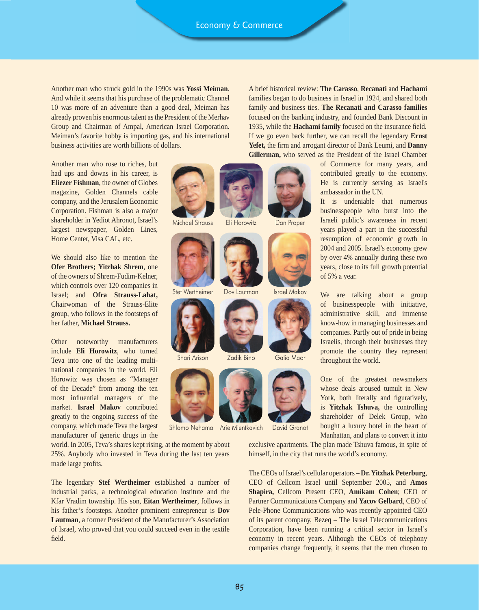Another man who struck gold in the 1990s was **Yossi Meiman**. And while it seems that his purchase of the problematic Channel 10 was more of an adventure than a good deal, Meiman has already proven his enormous talent as the President of the Merhav Group and Chairman of Ampal, American Israel Corporation. Meiman's favorite hobby is importing gas, and his international business activities are worth billions of dollars.

A brief historical review: **The Carasso**, **Recanati** and **Hachami**  families began to do business in Israel in 1924, and shared both family and business ties. **The Recanati and Carasso families**  focused on the banking industry, and founded Bank Discount in 1935, while the **Hachami family** focused on the insurance field. If we go even back further, we can recall the legendary **Ernst Yefet,** the firm and arrogant director of Bank Leumi, and **Danny Gillerman,** who served as the President of the Israel Chamber

Another man who rose to riches, but had ups and downs in his career, is **Eliezer Fishman**, the owner of Globes magazine, Golden Channels cable company, and the Jerusalem Economic Corporation. Fishman is also a major shareholder in Yediot Ahronot, Israel's largest newspaper, Golden Lines, Home Center, Visa CAL, etc.

We should also like to mention the **Ofer Brothers; Yitzhak Shrem**, one of the owners of Shrem-Fudim-Kelner, which controls over 120 companies in Israel; and **Ofra Strauss-Lahat,**  Chairwoman of the Strauss-Elite group, who follows in the footsteps of her father, **Michael Strauss.**

Other noteworthy manufacturers include **Eli Horowitz**, who turned Teva into one of the leading multinational companies in the world. Eli Horowitz was chosen as "Manager of the Decade" from among the ten most influential managers of the market. **Israel Makov** contributed greatly to the ongoing success of the company, which made Teva the largest manufacturer of generic drugs in the

world. In 2005, Teva's shares kept rising, at the moment by about 25%. Anybody who invested in Teva during the last ten years made large profits.

The legendary **Stef Wertheimer** established a number of industrial parks, a technological education institute and the Kfar Vradim township. His son, **Eitan Wertheimer**, follows in his father's footsteps. Another prominent entrepreneur is **Dov Lautman**, a former President of the Manufacturer's Association of Israel, who proved that you could succeed even in the textile field.



Michael Strauss Eli Horowitz Dan Proper



Stef Wertheimer Dov Lautman Israel Makov



Shari Arison







Dov Lautman



Zadik Bino Galia Maor



Shlomo Nehama Arie Mientkavich David Granot

of Commerce for many years, and contributed greatly to the economy. He is currently serving as Israel's ambassador in the UN.

It is undeniable that numerous businesspeople who burst into the Israeli public's awareness in recent years played a part in the successful resumption of economic growth in 2004 and 2005. Israel's economy grew by over 4% annually during these two years, close to its full growth potential of 5% a year.

We are talking about a group of businesspeople with initiative, administrative skill, and immense know-how in managing businesses and companies. Partly out of pride in being Israelis, through their businesses they promote the country they represent throughout the world.

One of the greatest newsmakers whose deals aroused tumult in New York, both literally and figuratively, is **Yitzhak Tshuva,** the controlling shareholder of Delek Group, who bought a luxury hotel in the heart of Manhattan, and plans to convert it into

exclusive apartments. The plan made Tshuva famous, in spite of himself, in the city that runs the world's economy.

The CEOs of Israel's cellular operators – **Dr. Yitzhak Peterburg**, CEO of Cellcom Israel until September 2005, and **Amos Shapira,** Cellcom Present CEO, **Amikam Cohen**; CEO of Partner Communications Company and **Yacov Gelbard**, CEO of Pele-Phone Communications who was recently appointed CEO of its parent company, Bezeq – The Israel Telecommunications Corporation, have been running a critical sector in Israel's economy in recent years. Although the CEOs of telephony companies change frequently, it seems that the men chosen to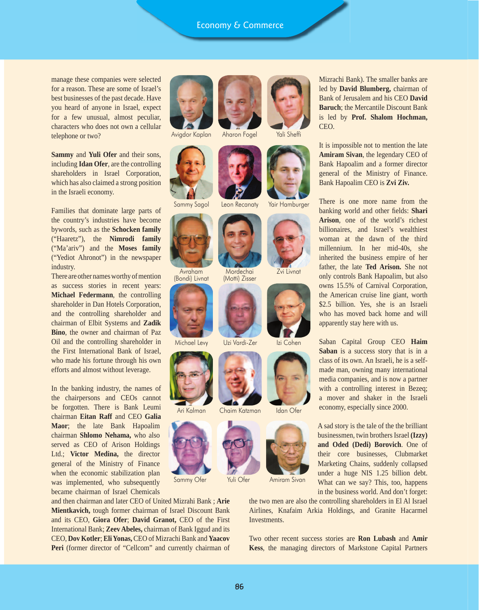## Economy & Commerce

manage these companies were selected for a reason. These are some of Israel's best businesses of the past decade. Have you heard of anyone in Israel, expect for a few unusual, almost peculiar, characters who does not own a cellular telephone or two?

**Sammy** and **Yuli Ofer** and their sons, including **Idan Ofer**, are the controlling shareholders in Israel Corporation, which has also claimed a strong position in the Israeli economy.

Families that dominate large parts of the country's industries have become bywords, such as the **Schocken family** ("Haaretz"), the **Nimrodi family**  ("Ma'ariv") and the **Moses family** ("Yediot Ahronot") in the newspaper industry.

There are other names worthy of mention as success stories in recent years: **Michael Federmann**, the controlling shareholder in Dan Hotels Corporation, and the controlling shareholder and chairman of Elbit Systems and **Zadik Bino**, the owner and chairman of Paz Oil and the controlling shareholder in the First International Bank of Israel, who made his fortune through his own efforts and almost without leverage.

In the banking industry, the names of the chairpersons and CEOs cannot be forgotten. There is Bank Leumi chairman **Eitan Raff** and CEO **Galia Maor**; the late Bank Hapoalim chairman **Shlomo Nehama,** who also served as CEO of Arison Holdings Ltd.; **Victor Medina,** the director general of the Ministry of Finance when the economic stabilization plan was implemented, who subsequently became chairman of Israel Chemicals

and then chairman and later CEO of United Mizrahi Bank ; **Arie Mientkavich,** tough former chairman of Israel Discount Bank and its CEO, **Giora Ofer**; **David Granot,** CEO of the First International Bank; **Zeev Abeles,** chairman of Bank Iggud and its CEO, **Dov Kotler**; **Eli Yonas,** CEO of Mizrachi Bank and **Yaacov**  Peri (former director of "Cellcom" and currently chairman of



Avigdor Kaplan Aharon Fogel Yali Sheffi





 Avraham (Bondi) Livnat





Ari Kalman Chaim Katzman Idan Ofer



Sammy Ofer Yuli Ofer Amiram Sivan





Sammy Sagol Leon Recanaty Yair Hamburger



(Motti) Zisser



Michael Levy Uzi Vardi-Zer Izi Cohen





Mizrachi Bank). The smaller banks are led by **David Blumberg,** chairman of Bank of Jerusalem and his CEO **David Baruch**; the Mercantile Discount Bank is led by **Prof. Shalom Hochman,** CEO.

It is impossible not to mention the late **Amiram Sivan**, the legendary CEO of Bank Hapoalim and a former director general of the Ministry of Finance. Bank Hapoalim CEO is **Zvi Ziv.**

There is one more name from the banking world and other fields: **Shari Arison**, one of the world's richest billionaires, and Israel's wealthiest woman at the dawn of the third millennium. In her mid-40s, she inherited the business empire of her father, the late **Ted Arison.** She not only controls Bank Hapoalim, but also owns 15.5% of Carnival Corporation, the American cruise line giant, worth \$2.5 billion. Yes, she is an Israeli who has moved back home and will apparently stay here with us.

Saban Capital Group CEO **Haim Saban** is a success story that is in a class of its own. An Israeli, he is a selfmade man, owning many international media companies, and is now a partner with a controlling interest in Bezeq; a mover and shaker in the Israeli economy, especially since 2000.

A sad story is the tale of the the brilliant businessmen, twin brothers Israel **(Izzy) and Oded (Dedi) Borovich**. One of their core businesses, Clubmarket Marketing Chains, suddenly collapsed under a huge NIS 1.25 billion debt. What can we say? This, too, happens in the business world. And don't forget:

the two men are also the controlling shareholders in El Al Israel Airlines, Knafaim Arkia Holdings, and Granite Hacarmel Investments.

Two other recent success stories are **Ron Lubash** and **Amir Kess**, the managing directors of Markstone Capital Partners

86